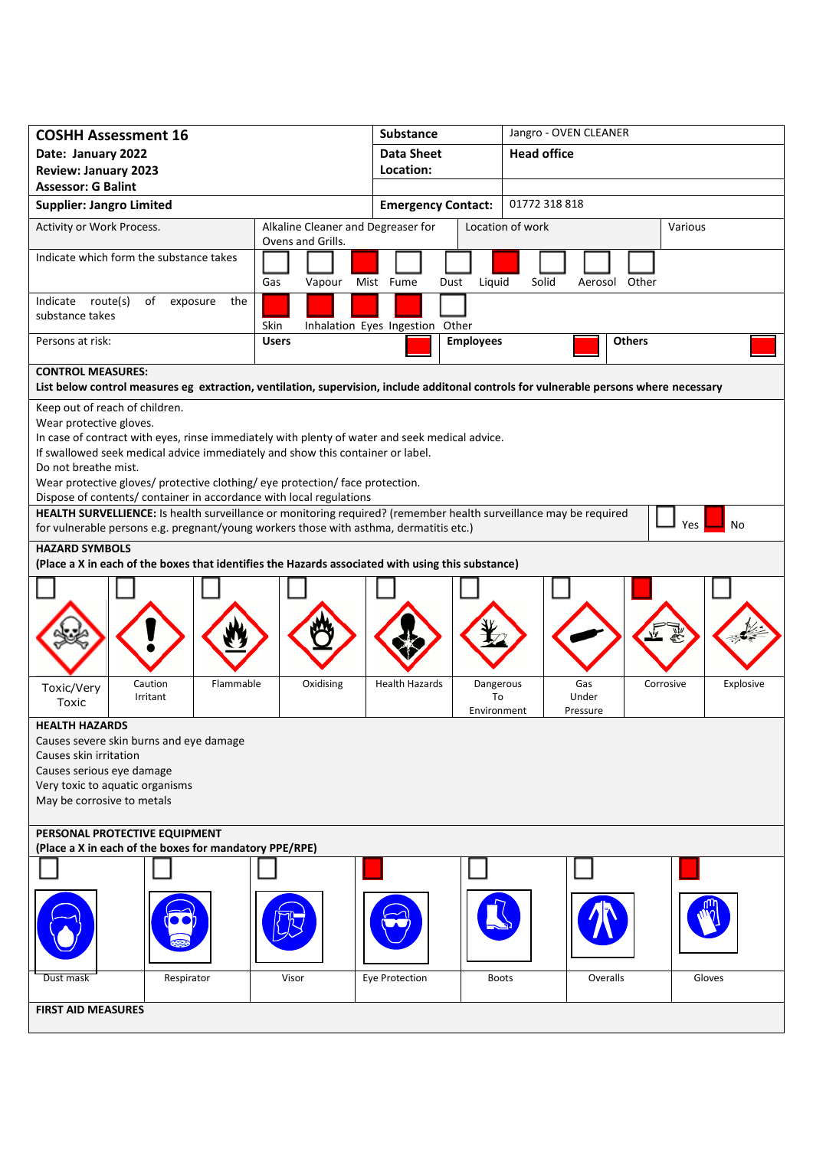| <b>COSHH Assessment 16</b>                                                                                                                                                               |                                    | <b>Substance</b>                |                           | Jangro - OVEN CLEANER |               |           |  |
|------------------------------------------------------------------------------------------------------------------------------------------------------------------------------------------|------------------------------------|---------------------------------|---------------------------|-----------------------|---------------|-----------|--|
| Date: January 2022                                                                                                                                                                       |                                    | <b>Data Sheet</b>               |                           | <b>Head office</b>    |               |           |  |
| <b>Review: January 2023</b>                                                                                                                                                              |                                    | Location:                       |                           |                       |               |           |  |
| <b>Assessor: G Balint</b><br><b>Supplier: Jangro Limited</b>                                                                                                                             |                                    |                                 | <b>Emergency Contact:</b> |                       | 01772 318 818 |           |  |
| Activity or Work Process.                                                                                                                                                                | Alkaline Cleaner and Degreaser for |                                 |                           | Location of work      |               | Various   |  |
|                                                                                                                                                                                          | Ovens and Grills.                  |                                 |                           |                       |               |           |  |
| Indicate which form the substance takes                                                                                                                                                  | Gas<br>Vapour                      | Mist Fume<br>Dust               | Liquid                    | Solid<br>Aerosol      | Other         |           |  |
| Indicate route(s)<br>of<br>exposure<br>the                                                                                                                                               |                                    |                                 |                           |                       |               |           |  |
| substance takes                                                                                                                                                                          | Skin                               | Inhalation Eyes Ingestion Other |                           |                       |               |           |  |
| Persons at risk:                                                                                                                                                                         | <b>Users</b>                       |                                 | <b>Employees</b>          |                       | <b>Others</b> |           |  |
|                                                                                                                                                                                          |                                    |                                 |                           |                       |               |           |  |
| <b>CONTROL MEASURES:</b><br>List below control measures eg extraction, ventilation, supervision, include additonal controls for vulnerable persons where necessary                       |                                    |                                 |                           |                       |               |           |  |
| Keep out of reach of children.                                                                                                                                                           |                                    |                                 |                           |                       |               |           |  |
| Wear protective gloves.                                                                                                                                                                  |                                    |                                 |                           |                       |               |           |  |
| In case of contract with eyes, rinse immediately with plenty of water and seek medical advice.<br>If swallowed seek medical advice immediately and show this container or label.         |                                    |                                 |                           |                       |               |           |  |
| Do not breathe mist.                                                                                                                                                                     |                                    |                                 |                           |                       |               |           |  |
| Wear protective gloves/ protective clothing/ eye protection/ face protection.                                                                                                            |                                    |                                 |                           |                       |               |           |  |
| Dispose of contents/ container in accordance with local regulations<br>HEALTH SURVELLIENCE: Is health surveillance or monitoring required? (remember health surveillance may be required |                                    |                                 |                           |                       |               |           |  |
| for vulnerable persons e.g. pregnant/young workers those with asthma, dermatitis etc.)                                                                                                   |                                    |                                 |                           |                       |               | Yes<br>No |  |
| <b>HAZARD SYMBOLS</b><br>(Place a X in each of the boxes that identifies the Hazards associated with using this substance)                                                               |                                    |                                 |                           |                       |               |           |  |
|                                                                                                                                                                                          |                                    |                                 |                           |                       |               |           |  |
|                                                                                                                                                                                          |                                    |                                 |                           |                       |               |           |  |
|                                                                                                                                                                                          |                                    |                                 |                           |                       |               |           |  |
|                                                                                                                                                                                          |                                    |                                 |                           |                       |               |           |  |
|                                                                                                                                                                                          |                                    |                                 |                           |                       |               |           |  |
| Flammable<br>Caution<br>Toxic/Very<br>Irritant                                                                                                                                           | Oxidising                          | <b>Health Hazards</b>           | Dangerous<br>To           | Gas<br>Under          | Corrosive     | Explosive |  |
| Toxic                                                                                                                                                                                    |                                    |                                 | Environment               | Pressure              |               |           |  |
| <b>HEALTH HAZARDS</b>                                                                                                                                                                    |                                    |                                 |                           |                       |               |           |  |
| Causes severe skin burns and eye damage<br>Causes skin irritation                                                                                                                        |                                    |                                 |                           |                       |               |           |  |
| Causes serious eye damage                                                                                                                                                                |                                    |                                 |                           |                       |               |           |  |
| Very toxic to aquatic organisms                                                                                                                                                          |                                    |                                 |                           |                       |               |           |  |
| May be corrosive to metals                                                                                                                                                               |                                    |                                 |                           |                       |               |           |  |
| PERSONAL PROTECTIVE EQUIPMENT                                                                                                                                                            |                                    |                                 |                           |                       |               |           |  |
| (Place a X in each of the boxes for mandatory PPE/RPE)                                                                                                                                   |                                    |                                 |                           |                       |               |           |  |
|                                                                                                                                                                                          |                                    |                                 |                           |                       |               |           |  |
|                                                                                                                                                                                          |                                    |                                 |                           |                       |               |           |  |
|                                                                                                                                                                                          |                                    |                                 |                           |                       |               |           |  |
|                                                                                                                                                                                          |                                    |                                 |                           |                       |               |           |  |
| Respirator<br>Dust mask                                                                                                                                                                  | Visor                              | Eye Protection                  | <b>Boots</b>              |                       | Overalls      | Gloves    |  |
|                                                                                                                                                                                          |                                    |                                 |                           |                       |               |           |  |
| <b>FIRST AID MEASURES</b>                                                                                                                                                                |                                    |                                 |                           |                       |               |           |  |
|                                                                                                                                                                                          |                                    |                                 |                           |                       |               |           |  |